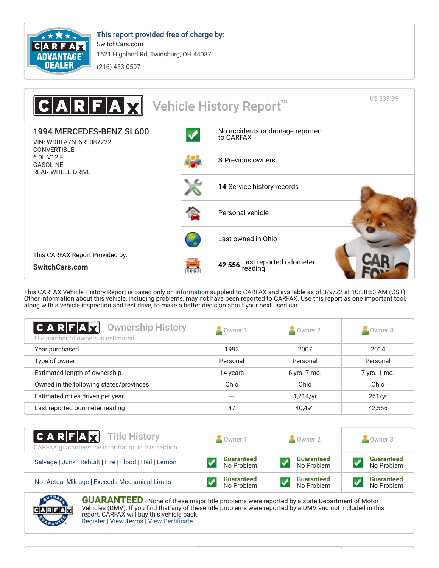

This report provided free of charge by: SwitchCars.com 1521 Highland Rd, Twinsburg, OH 44087

 $(216)$  453-0507



This CARFAX Vehicle History Report is based only on information supplied to CARFAX and available as of 3/9/22 at 10:38:53 AM (CST).<br>Other information about this vehicle, including problems, may not have been reported to CA along with a vehicle inspection and test drive, to make a better decision about your next used car.

| C A R F A X <br><b>Ownership History</b><br>The number of owners is estimated | Owner 1  | $\sim$ Owner 2 | $\sim$ Owner 3 |
|-------------------------------------------------------------------------------|----------|----------------|----------------|
| Year purchased                                                                | 1993     | 2007           | 2014           |
| Type of owner                                                                 | Personal | Personal       | Personal       |
| Estimated length of ownership                                                 | 14 years | 6 yrs. 7 mo.   | 7 yrs. 1 mo.   |
| Owned in the following states/provinces                                       | Ohio     | Ohio           | Ohio           |
| Estimated miles driven per year                                               |          | 1,214/yr       | 261/yr         |
| Last reported odometer reading                                                | 47       | 40,491         | 42,556         |

| $ C A R F A \overline{X}$ Title History<br>CARFAX quarantees the information in this section | Owner 1           | Owner 2           | Owner 3           |  |
|----------------------------------------------------------------------------------------------|-------------------|-------------------|-------------------|--|
| Salvage   Junk   Rebuilt   Fire   Flood   Hail   Lemon                                       | <b>Guaranteed</b> | <b>Guaranteed</b> | <b>Guaranteed</b> |  |
|                                                                                              | No Problem        | No Problem        | No Problem        |  |
| Not Actual Mileage   Exceeds Mechanical Limits                                               | <b>Guaranteed</b> | <b>Guaranteed</b> | <b>Guaranteed</b> |  |
|                                                                                              | No Problem        | No Problem        | No Problem        |  |



**GUARANTEED** - None of these major title problems were reported by a state Department of Motor Vehicles (DMV). If you find that any of these title problems were reported by a DMV and not included in this report, CARFAX will buy this vehicle back.<br>Register | View Terms | View Certificate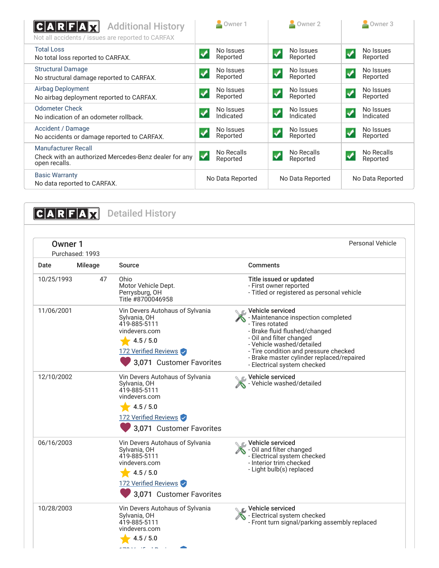| <b>Additional History</b><br> C A R F A<br>Not all accidents / issues are reported to CARFAX         | Owner 1                     | Owner 2                                              | Owner 3                                             |
|------------------------------------------------------------------------------------------------------|-----------------------------|------------------------------------------------------|-----------------------------------------------------|
| <b>Total Loss</b><br>No total loss reported to CARFAX.                                               | No Issues<br>Reported       | No Issues<br>$\boldsymbol{\mathcal{N}}$<br>Reported  | No Issues<br>$\checkmark$<br>Reported               |
| <b>Structural Damage</b><br>No structural damage reported to CARFAX.                                 | No Issues<br>Reported       | No Issues<br>Reported                                | No Issues<br>$\blacklozenge$<br>Reported            |
| Airbag Deployment<br>No airbag deployment reported to CARFAX.                                        | No Issues<br>Reported       | No Issues<br>$\blacktriangledown$<br>Reported        | No Issues<br>↵<br>Reported                          |
| <b>Odometer Check</b><br>No indication of an odometer rollback.                                      | No Issues<br>Indicated      | No Issues<br>$\overline{\mathbf{v}}$<br>Indicated    | No Issues<br>$\blacktriangledown$<br>Indicated      |
| Accident / Damage<br>No accidents or damage reported to CARFAX.                                      | No Issues<br>Ø<br>Reported  | No Issues<br>$\boldsymbol{\mathcal{N}}$<br>Reported  | No Issues<br>$\boldsymbol{\mathcal{N}}$<br>Reported |
| <b>Manufacturer Recall</b><br>Check with an authorized Mercedes-Benz dealer for any<br>open recalls. | No Recalls<br>✓<br>Reported | No Recalls<br>$\boldsymbol{\mathcal{S}}$<br>Reported | No Recalls<br>$\boldsymbol{J}$<br>Reported          |
| <b>Basic Warranty</b><br>No data reported to CARFAX.                                                 | No Data Reported            | No Data Reported                                     | No Data Reported                                    |

**CARFAX** Detailed History Personal Vehicle Owner 1 Purchased: 1993 Date Mileage Source **Comments** 10/25/1993  $\Delta$ 7 Ohio Title issued or updated Motor Vehicle Dept. - First owner reported - Titled or registered as personal vehicle Perrysburg, OH Title #8700046958 **Vehicle serviced** 11/06/2001 Vin Devers Autohaus of Sylvania Maintenance inspection completed Sylvania, OH - Tires rotated 419-885-5111 vindevers.com - Brake fluid flushed/changed - Oil and filter changed  $4.5 / 5.0$ - Vehicle washed/detailed 172 Verified Reviews - Tire condition and pressure checked - Brake master cylinder replaced/repaired 3,071 Customer Favorites - Electrical system checked Vehicle serviced 12/10/2002 Vin Devers Autohaus of Sylvania Vehicle washed/detailed Sylvania, OH 419-885-5111 vindevers.com  $4.5 / 5.0$ 172 Verified Reviews 3,071 Customer Favorites Vehicle serviced 06/16/2003 Vin Devers Autohaus of Sylvania Oil and filter changed Sylvania, OH 419-885-5111 - Electrical system checked vindevers.com - Interior trim checked - Light bulb(s) replaced  $4.5 / 5.0$ 172 Verified Reviews 3,071 Customer Favorites Vehicle serviced 10/28/2003 Vin Devers Autohaus of Sylvania Electrical system checked Sylvania, OH 419-885-5111 - Front turn signal/parking assembly replaced vindevers.com  $4.5 / 5.0$  $2 - 2$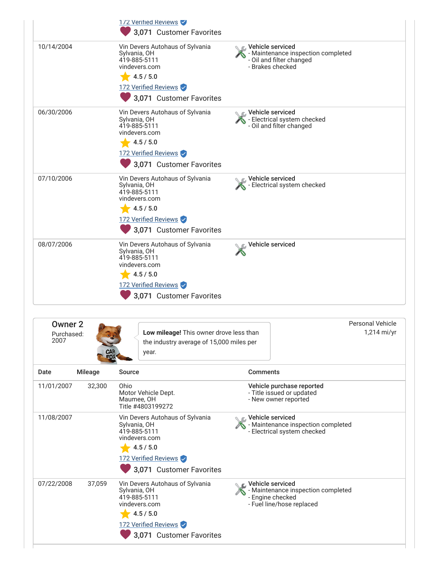|                                          |                | 172 Verified Reviews<br>3,071 Customer Favorites                                                                                                  |                                                                                                         |                                 |
|------------------------------------------|----------------|---------------------------------------------------------------------------------------------------------------------------------------------------|---------------------------------------------------------------------------------------------------------|---------------------------------|
| 10/14/2004                               |                | Vin Devers Autohaus of Sylvania<br>Sylvania, OH<br>419-885-5111<br>vindevers.com<br>4.5 / 5.0<br>172 Verified Reviews<br>3,071 Customer Favorites | Vehicle serviced<br>- Maintenance inspection completed<br>- Oil and filter changed<br>- Brakes checked  |                                 |
| 06/30/2006                               |                | Vin Devers Autohaus of Sylvania<br>Sylvania, OH<br>419-885-5111<br>vindevers.com<br>4.5 / 5.0<br>172 Verified Reviews<br>3,071 Customer Favorites | C Vehicle serviced<br>- Electrical system checked<br>- Oil and filter changed                           |                                 |
| 07/10/2006                               |                | Vin Devers Autohaus of Sylvania<br>Sylvania, OH<br>419-885-5111<br>vindevers.com<br>4.5 / 5.0<br>172 Verified Reviews<br>3,071 Customer Favorites | Vehicle serviced<br>Felectrical system checked                                                          |                                 |
| 08/07/2006                               |                | Vin Devers Autohaus of Sylvania<br>Sylvania, OH<br>419-885-5111<br>vindevers.com<br>4.5 / 5.0<br>172 Verified Reviews<br>3,071 Customer Favorites | Vehicle serviced                                                                                        |                                 |
| Owner <sub>2</sub><br>Purchased:<br>2007 |                | Low mileage! This owner drove less than<br>the industry average of 15,000 miles per<br>year.                                                      |                                                                                                         | Personal Vehicle<br>1,214 mi/yr |
| Date                                     | <b>Mileage</b> | Source                                                                                                                                            | <b>Comments</b>                                                                                         |                                 |
| 11/01/2007                               | 32,300         | Ohio<br>Motor Vehicle Dept.<br>Maumee, OH<br>Title #4803199272                                                                                    | Vehicle purchase reported<br>- Title issued or updated<br>- New owner reported                          |                                 |
| 11/08/2007                               |                | Vin Devers Autohaus of Sylvania<br>Sylvania, OH<br>419-885-5111<br>vindevers.com<br>4.5 / 5.0<br>172 Verified Reviews<br>3,071 Customer Favorites | Vehicle serviced<br>- Maintenance inspection completed<br>- Electrical system checked                   |                                 |
| 07/22/2008                               | 37,059         | Vin Devers Autohaus of Sylvania<br>Sylvania, OH<br>419-885-5111<br>vindevers.com<br>4.5 / 5.0<br>172 Verified Reviews<br>3,071 Customer Favorites | Vehicle serviced<br>- Maintenance inspection completed<br>- Engine checked<br>- Fuel line/hose replaced |                                 |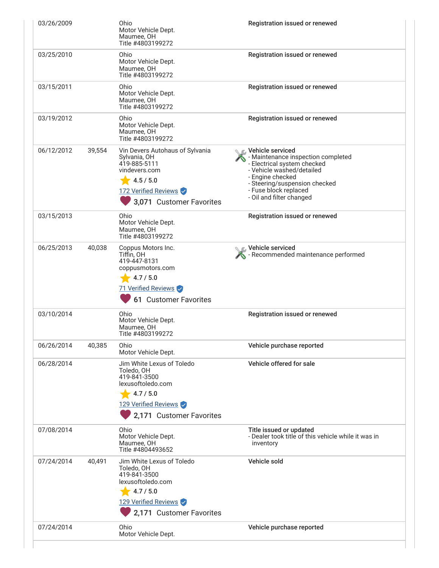| 03/26/2009 |        | Ohio<br>Motor Vehicle Dept.<br>Maumee, OH<br>Title #4803199272                                                                                    | Registration issued or renewed                                                                                                                                                                                               |
|------------|--------|---------------------------------------------------------------------------------------------------------------------------------------------------|------------------------------------------------------------------------------------------------------------------------------------------------------------------------------------------------------------------------------|
| 03/25/2010 |        | Ohio<br>Motor Vehicle Dept.<br>Maumee, OH<br>Title #4803199272                                                                                    | Registration issued or renewed                                                                                                                                                                                               |
| 03/15/2011 |        | Ohio<br>Motor Vehicle Dept.<br>Maumee, OH<br>Title #4803199272                                                                                    | Registration issued or renewed                                                                                                                                                                                               |
| 03/19/2012 |        | Ohio<br>Motor Vehicle Dept.<br>Maumee, OH<br>Title #4803199272                                                                                    | Registration issued or renewed                                                                                                                                                                                               |
| 06/12/2012 | 39,554 | Vin Devers Autohaus of Sylvania<br>Sylvania, OH<br>419-885-5111<br>vindevers.com<br>4.5 / 5.0<br>172 Verified Reviews<br>3,071 Customer Favorites | Vehicle serviced<br>- Maintenance inspection completed<br>- Electrical system checked<br>- Vehicle washed/detailed<br>- Engine checked<br>- Steering/suspension checked<br>- Fuse block replaced<br>- Oil and filter changed |
| 03/15/2013 |        | Ohio<br>Motor Vehicle Dept.<br>Maumee, OH<br>Title #4803199272                                                                                    | Registration issued or renewed                                                                                                                                                                                               |
| 06/25/2013 | 40,038 | Coppus Motors Inc.<br>Tiffin, OH<br>419-447-8131<br>coppusmotors.com<br>4.7 / 5.0<br>71 Verified Reviews<br>61 Customer Favorites                 | C Vehicle serviced<br>Recommended maintenance performed                                                                                                                                                                      |
| 03/10/2014 |        | Ohio<br>Motor Vehicle Dept.<br>Maumee, OH<br>Title #4803199272                                                                                    | Registration issued or renewed                                                                                                                                                                                               |
| 06/26/2014 | 40,385 | Ohio<br>Motor Vehicle Dept.                                                                                                                       | Vehicle purchase reported                                                                                                                                                                                                    |
| 06/28/2014 |        | Jim White Lexus of Toledo<br>Toledo, OH<br>419-841-3500<br>lexusoftoledo.com<br>4.7 / 5.0<br>129 Verified Reviews<br>2,171 Customer Favorites     | Vehicle offered for sale                                                                                                                                                                                                     |
| 07/08/2014 |        | Ohio<br>Motor Vehicle Dept.<br>Maumee, OH<br>Title #4804493652                                                                                    | Title issued or updated<br>- Dealer took title of this vehicle while it was in<br>inventory                                                                                                                                  |
| 07/24/2014 | 40,491 | Jim White Lexus of Toledo<br>Toledo, OH<br>419-841-3500<br>lexusoftoledo.com<br>4.7 / 5.0<br>129 Verified Reviews<br>2,171 Customer Favorites     | Vehicle sold                                                                                                                                                                                                                 |
| 07/24/2014 |        | Ohio<br>Motor Vehicle Dept.                                                                                                                       | Vehicle purchase reported                                                                                                                                                                                                    |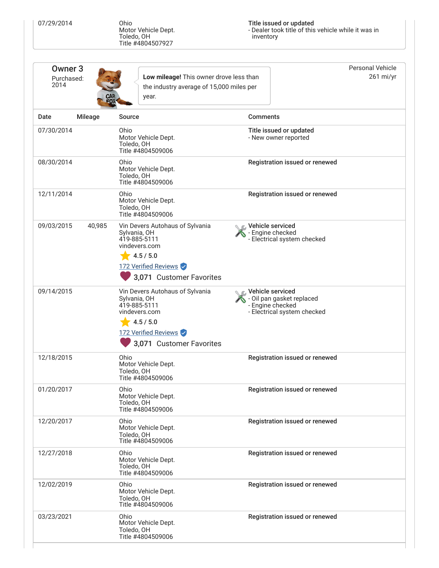07/29/2014

Ohio<br>Motor Vehicle Dept.<br>Toledo, OH<br>Title #4804507927

Title issued or updated<br>- Dealer took title of this vehicle while it was in<br>inventory

| Owner <sub>3</sub><br>Purchased:<br>2014 |                | Low mileage! This owner drove less than<br>the industry average of 15,000 miles per<br>year.                                                      |                                                                                                  | <b>Personal Vehicle</b><br>261 mi/yr |
|------------------------------------------|----------------|---------------------------------------------------------------------------------------------------------------------------------------------------|--------------------------------------------------------------------------------------------------|--------------------------------------|
| Date                                     | <b>Mileage</b> | <b>Source</b>                                                                                                                                     | <b>Comments</b>                                                                                  |                                      |
| 07/30/2014                               |                | Ohio<br>Motor Vehicle Dept.<br>Toledo, OH<br>Title #4804509006                                                                                    | Title issued or updated<br>- New owner reported                                                  |                                      |
| 08/30/2014                               |                | Ohio<br>Motor Vehicle Dept.<br>Toledo, OH<br>Title #4804509006                                                                                    | Registration issued or renewed                                                                   |                                      |
| 12/11/2014                               |                | Ohio<br>Motor Vehicle Dept.<br>Toledo, OH<br>Title #4804509006                                                                                    | Registration issued or renewed                                                                   |                                      |
| 09/03/2015                               | 40,985         | Vin Devers Autohaus of Sylvania<br>Sylvania, OH<br>419-885-5111<br>vindevers.com<br>4.5 / 5.0<br>172 Verified Reviews<br>3,071 Customer Favorites | C Vehicle serviced<br>- Engine checked<br>- Electrical system checked                            |                                      |
| 09/14/2015                               |                | Vin Devers Autohaus of Sylvania<br>Sylvania, OH<br>419-885-5111<br>vindevers.com<br>4.5 / 5.0<br>172 Verified Reviews<br>3,071 Customer Favorites | Vehicle serviced<br>- Oil pan gasket replaced<br>- Engine checked<br>- Electrical system checked |                                      |
| 12/18/2015                               |                | Ohio<br>Motor Vehicle Dept.<br>Toledo, OH<br>Title #4804509006                                                                                    | Registration issued or renewed                                                                   |                                      |
| 01/20/2017                               |                | Ohio<br>Motor Vehicle Dept.<br>Toledo, OH<br>Title #4804509006                                                                                    | Registration issued or renewed                                                                   |                                      |
| 12/20/2017                               |                | Ohio<br>Motor Vehicle Dept.<br>Toledo, OH<br>Title #4804509006                                                                                    | Registration issued or renewed                                                                   |                                      |
| 12/27/2018                               |                | Ohio<br>Motor Vehicle Dept.<br>Toledo, OH<br>Title #4804509006                                                                                    | Registration issued or renewed                                                                   |                                      |
| 12/02/2019                               |                | Ohio<br>Motor Vehicle Dept.<br>Toledo, OH<br>Title #4804509006                                                                                    | Registration issued or renewed                                                                   |                                      |
| 03/23/2021                               |                | Ohio<br>Registration issued or renewed<br>Motor Vehicle Dept.<br>Toledo, OH<br>Title #4804509006                                                  |                                                                                                  |                                      |